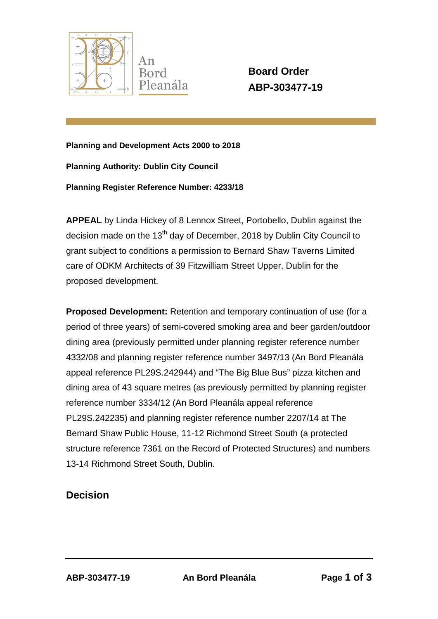

**Board Order ABP-303477-19**

**Planning and Development Acts 2000 to 2018**

**Planning Authority: Dublin City Council** 

**Planning Register Reference Number: 4233/18**

**APPEAL** by Linda Hickey of 8 Lennox Street, Portobello, Dublin against the decision made on the  $13<sup>th</sup>$  day of December, 2018 by Dublin City Council to grant subject to conditions a permission to Bernard Shaw Taverns Limited care of ODKM Architects of 39 Fitzwilliam Street Upper, Dublin for the proposed development.

**Proposed Development:** Retention and temporary continuation of use (for a period of three years) of semi-covered smoking area and beer garden/outdoor dining area (previously permitted under planning register reference number 4332/08 and planning register reference number 3497/13 (An Bord Pleanála appeal reference PL29S.242944) and "The Big Blue Bus" pizza kitchen and dining area of 43 square metres (as previously permitted by planning register reference number 3334/12 (An Bord Pleanála appeal reference PL29S.242235) and planning register reference number 2207/14 at The Bernard Shaw Public House, 11-12 Richmond Street South (a protected structure reference 7361 on the Record of Protected Structures) and numbers 13-14 Richmond Street South, Dublin.

## **Decision**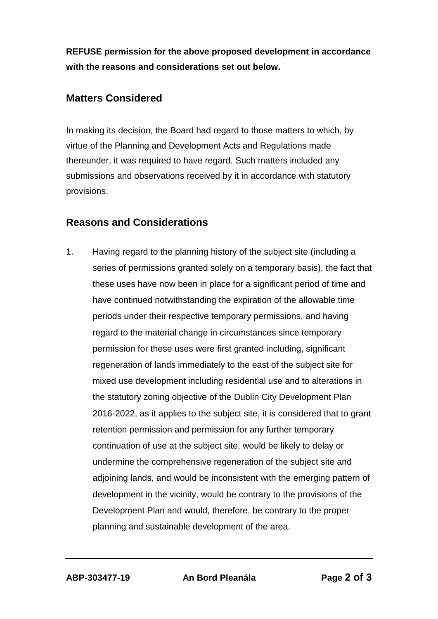**REFUSE permission for the above proposed development in accordance with the reasons and considerations set out below.**

## **Matters Considered**

In making its decision, the Board had regard to those matters to which, by virtue of the Planning and Development Acts and Regulations made thereunder, it was required to have regard. Such matters included any submissions and observations received by it in accordance with statutory provisions.

## **Reasons and Considerations**

1. Having regard to the planning history of the subject site (including a series of permissions granted solely on a temporary basis), the fact that these uses have now been in place for a significant period of time and have continued notwithstanding the expiration of the allowable time periods under their respective temporary permissions, and having regard to the material change in circumstances since temporary permission for these uses were first granted including, significant regeneration of lands immediately to the east of the subject site for mixed use development including residential use and to alterations in the statutory zoning objective of the Dublin City Development Plan 2016-2022, as it applies to the subject site, it is considered that to grant retention permission and permission for any further temporary continuation of use at the subject site, would be likely to delay or undermine the comprehensive regeneration of the subject site and adjoining lands, and would be inconsistent with the emerging pattern of development in the vicinity, would be contrary to the provisions of the Development Plan and would, therefore, be contrary to the proper planning and sustainable development of the area.